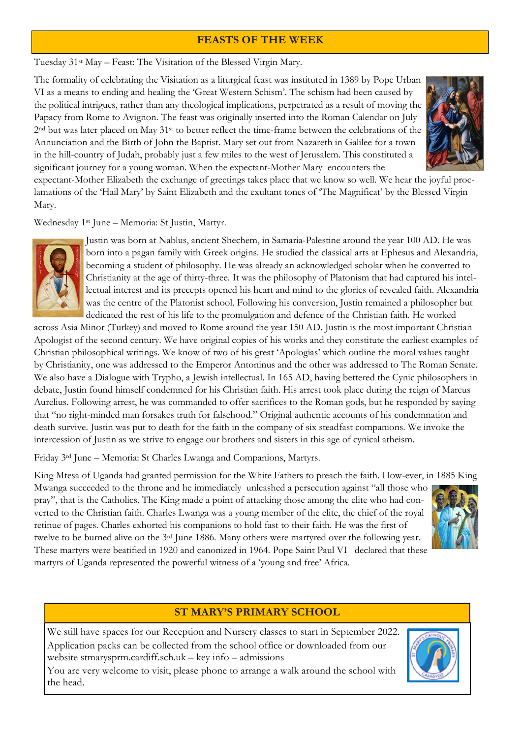### **FEASTS OF THE WEEK**

Tuesday 31st May – Feast: The Visitation of the Blessed Virgin Mary.

The formality of celebrating the Visitation as a liturgical feast was instituted in 1389 by Pope Urban VI as a means to ending and healing the 'Great Western Schism'. The schism had been caused by the political intrigues, rather than any theological implications, perpetrated as a result of moving the Papacy from Rome to Avignon. The feast was originally inserted into the Roman Calendar on July 2<sup>nd</sup> but was later placed on May 31<sup>st</sup> to better reflect the time-frame between the celebrations of the Annunciation and the Birth of John the Baptist. Mary set out from Nazareth in Galilee for a town in the hill-country of Judah, probably just a few miles to the west of Jerusalem. This constituted a significant journey for a young woman. When the expectant-Mother Mary encounters the



expectant-Mother Elizabeth the exchange of greetings takes place that we know so well. We hear the joyful proclamations of the 'Hail Mary' by Saint Elizabeth and the exultant tones of 'The Magnificat' by the Blessed Virgin Mary.

Wednesday 1st June – Memoria: St Justin, Martyr.



Justin was born at Nablus, ancient Shechem, in Samaria-Palestine around the year 100 AD. He was born into a pagan family with Greek origins. He studied the classical arts at Ephesus and Alexandria, becoming a student of philosophy. He was already an acknowledged scholar when he converted to Christianity at the age of thirty-three. It was the philosophy of Platonism that had captured his intellectual interest and its precepts opened his heart and mind to the glories of revealed faith. Alexandria was the centre of the Platonist school. Following his conversion, Justin remained a philosopher but dedicated the rest of his life to the promulgation and defence of the Christian faith. He worked

across Asia Minor (Turkey) and moved to Rome around the year 150 AD. Justin is the most important Christian Apologist of the second century. We have original copies of his works and they constitute the earliest examples of Christian philosophical writings. We know of two of his great 'Apologias' which outline the moral values taught by Christianity, one was addressed to the Emperor Antoninus and the other was addressed to The Roman Senate. We also have a Dialogue with Trypho, a Jewish intellectual. In 165 AD, having bettered the Cynic philosophers in debate, Justin found himself condemned for his Christian faith. His arrest took place during the reign of Marcus Aurelius. Following arrest, he was commanded to offer sacrifices to the Roman gods, but he responded by saying that "no right-minded man forsakes truth for falsehood." Original authentic accounts of his condemnation and death survive. Justin was put to death for the faith in the company of six steadfast companions. We invoke the intercession of Justin as we strive to engage our brothers and sisters in this age of cynical atheism.

Friday 3rd June – Memoria: St Charles Lwanga and Companions, Martyrs.

King Mtesa of Uganda had granted permission for the White Fathers to preach the faith. How-ever, in 1885 King

Mwanga succeeded to the throne and he immediately unleashed a persecution against "all those who pray", that is the Catholics. The King made a point of attacking those among the elite who had converted to the Christian faith. Charles Lwanga was a young member of the elite, the chief of the royal retinue of pages. Charles exhorted his companions to hold fast to their faith. He was the first of twelve to be burned alive on the 3rd June 1886. Many others were martyred over the following year. These martyrs were beatified in 1920 and canonized in 1964. Pope Saint Paul VI declared that these martyrs of Uganda represented the powerful witness of a 'young and free' Africa.



## **ST MARY'S PRIMARY SCHOOL**

We still have spaces for our Reception and Nursery classes to start in September 2022. Application packs can be collected from the school office or downloaded from our website stmarysprm.cardiff.sch.uk – key info – admissions



You are very welcome to visit, please phone to arrange a walk around the school with the head.